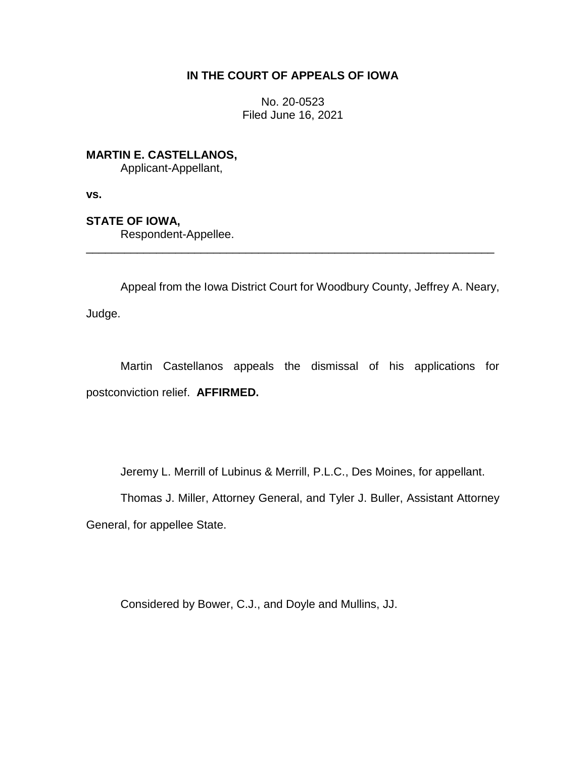# **IN THE COURT OF APPEALS OF IOWA**

No. 20-0523 Filed June 16, 2021

**MARTIN E. CASTELLANOS,**

Applicant-Appellant,

**vs.**

**STATE OF IOWA,**

Respondent-Appellee.

Appeal from the Iowa District Court for Woodbury County, Jeffrey A. Neary, Judge.

\_\_\_\_\_\_\_\_\_\_\_\_\_\_\_\_\_\_\_\_\_\_\_\_\_\_\_\_\_\_\_\_\_\_\_\_\_\_\_\_\_\_\_\_\_\_\_\_\_\_\_\_\_\_\_\_\_\_\_\_\_\_\_\_

Martin Castellanos appeals the dismissal of his applications for postconviction relief. **AFFIRMED.**

Jeremy L. Merrill of Lubinus & Merrill, P.L.C., Des Moines, for appellant.

Thomas J. Miller, Attorney General, and Tyler J. Buller, Assistant Attorney General, for appellee State.

Considered by Bower, C.J., and Doyle and Mullins, JJ.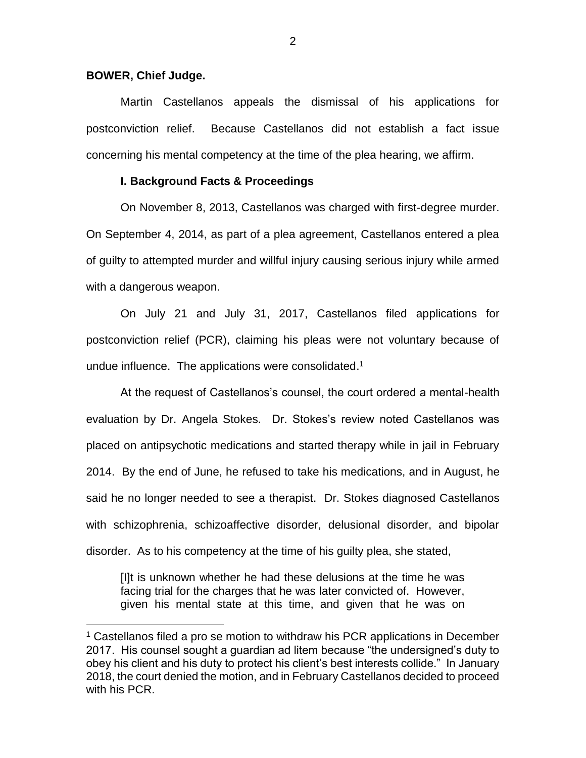### **BOWER, Chief Judge.**

 $\overline{a}$ 

Martin Castellanos appeals the dismissal of his applications for postconviction relief. Because Castellanos did not establish a fact issue concerning his mental competency at the time of the plea hearing, we affirm.

# **I. Background Facts & Proceedings**

On November 8, 2013, Castellanos was charged with first-degree murder. On September 4, 2014, as part of a plea agreement, Castellanos entered a plea of guilty to attempted murder and willful injury causing serious injury while armed with a dangerous weapon.

On July 21 and July 31, 2017, Castellanos filed applications for postconviction relief (PCR), claiming his pleas were not voluntary because of undue influence. The applications were consolidated. 1

At the request of Castellanos's counsel, the court ordered a mental-health evaluation by Dr. Angela Stokes. Dr. Stokes's review noted Castellanos was placed on antipsychotic medications and started therapy while in jail in February 2014. By the end of June, he refused to take his medications, and in August, he said he no longer needed to see a therapist. Dr. Stokes diagnosed Castellanos with schizophrenia, schizoaffective disorder, delusional disorder, and bipolar disorder. As to his competency at the time of his guilty plea, she stated,

[I]t is unknown whether he had these delusions at the time he was facing trial for the charges that he was later convicted of. However, given his mental state at this time, and given that he was on

<sup>1</sup> Castellanos filed a pro se motion to withdraw his PCR applications in December 2017. His counsel sought a guardian ad litem because "the undersigned's duty to obey his client and his duty to protect his client's best interests collide." In January 2018, the court denied the motion, and in February Castellanos decided to proceed with his PCR.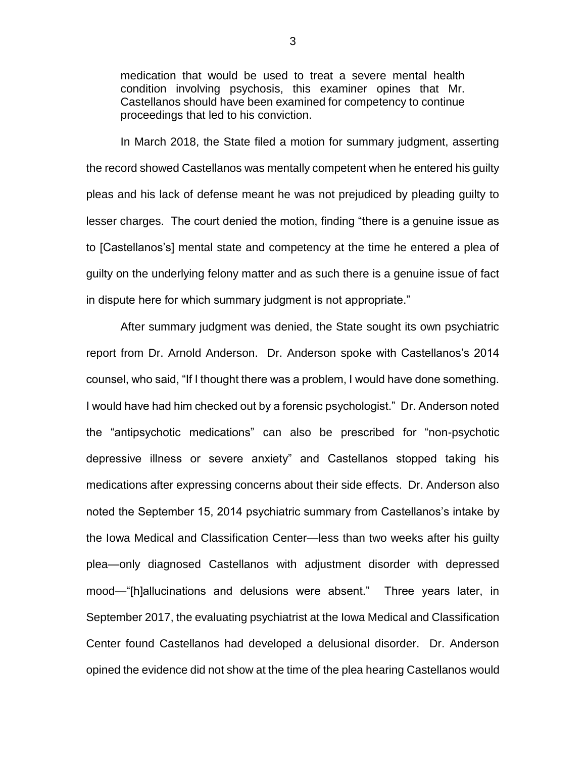medication that would be used to treat a severe mental health condition involving psychosis, this examiner opines that Mr. Castellanos should have been examined for competency to continue proceedings that led to his conviction.

In March 2018, the State filed a motion for summary judgment, asserting the record showed Castellanos was mentally competent when he entered his guilty pleas and his lack of defense meant he was not prejudiced by pleading guilty to lesser charges. The court denied the motion, finding "there is a genuine issue as to [Castellanos's] mental state and competency at the time he entered a plea of guilty on the underlying felony matter and as such there is a genuine issue of fact in dispute here for which summary judgment is not appropriate."

After summary judgment was denied, the State sought its own psychiatric report from Dr. Arnold Anderson. Dr. Anderson spoke with Castellanos's 2014 counsel, who said, "If I thought there was a problem, I would have done something. I would have had him checked out by a forensic psychologist." Dr. Anderson noted the "antipsychotic medications" can also be prescribed for "non-psychotic depressive illness or severe anxiety" and Castellanos stopped taking his medications after expressing concerns about their side effects. Dr. Anderson also noted the September 15, 2014 psychiatric summary from Castellanos's intake by the Iowa Medical and Classification Center—less than two weeks after his guilty plea—only diagnosed Castellanos with adjustment disorder with depressed mood—"[h]allucinations and delusions were absent." Three years later, in September 2017, the evaluating psychiatrist at the Iowa Medical and Classification Center found Castellanos had developed a delusional disorder. Dr. Anderson opined the evidence did not show at the time of the plea hearing Castellanos would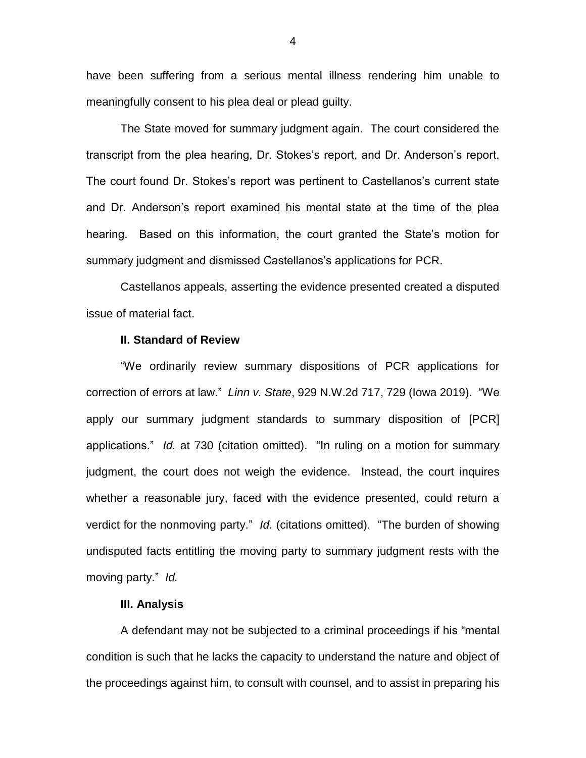have been suffering from a serious mental illness rendering him unable to meaningfully consent to his plea deal or plead guilty.

The State moved for summary judgment again. The court considered the transcript from the plea hearing, Dr. Stokes's report, and Dr. Anderson's report. The court found Dr. Stokes's report was pertinent to Castellanos's current state and Dr. Anderson's report examined his mental state at the time of the plea hearing. Based on this information, the court granted the State's motion for summary judgment and dismissed Castellanos's applications for PCR.

Castellanos appeals, asserting the evidence presented created a disputed issue of material fact.

#### **II. Standard of Review**

"We ordinarily review summary dispositions of PCR applications for correction of errors at law." *Linn v. State*, 929 N.W.2d 717, 729 (Iowa 2019). "We apply our summary judgment standards to summary disposition of [PCR] applications." *Id.* at 730 (citation omitted). "In ruling on a motion for summary judgment, the court does not weigh the evidence. Instead, the court inquires whether a reasonable jury, faced with the evidence presented, could return a verdict for the nonmoving party." *Id.* (citations omitted). "The burden of showing undisputed facts entitling the moving party to summary judgment rests with the moving party." *Id.*

### **III. Analysis**

A defendant may not be subjected to a criminal proceedings if his "mental condition is such that he lacks the capacity to understand the nature and object of the proceedings against him, to consult with counsel, and to assist in preparing his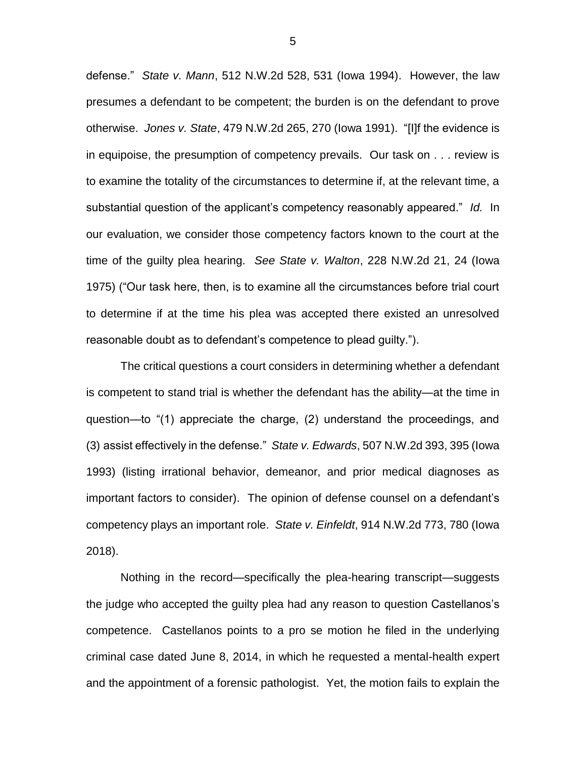defense." *State v. Mann*, 512 N.W.2d 528, 531 (Iowa 1994). However, the law presumes a defendant to be competent; the burden is on the defendant to prove otherwise. *Jones v. State*, 479 N.W.2d 265, 270 (Iowa 1991). "[I]f the evidence is in equipoise, the presumption of competency prevails. Our task on . . . review is to examine the totality of the circumstances to determine if, at the relevant time, a substantial question of the applicant's competency reasonably appeared." *Id.* In our evaluation, we consider those competency factors known to the court at the time of the guilty plea hearing. *See State v. Walton*, 228 N.W.2d 21, 24 (Iowa 1975) ("Our task here, then, is to examine all the circumstances before trial court to determine if at the time his plea was accepted there existed an unresolved reasonable doubt as to defendant's competence to plead guilty.").

The critical questions a court considers in determining whether a defendant is competent to stand trial is whether the defendant has the ability—at the time in question—to "(1) appreciate the charge, (2) understand the proceedings, and (3) assist effectively in the defense." *State v. Edwards*, 507 N.W.2d 393, 395 (Iowa 1993) (listing irrational behavior, demeanor, and prior medical diagnoses as important factors to consider). The opinion of defense counsel on a defendant's competency plays an important role. *State v. Einfeldt*, 914 N.W.2d 773, 780 (Iowa 2018).

Nothing in the record—specifically the plea-hearing transcript—suggests the judge who accepted the guilty plea had any reason to question Castellanos's competence. Castellanos points to a pro se motion he filed in the underlying criminal case dated June 8, 2014, in which he requested a mental-health expert and the appointment of a forensic pathologist. Yet, the motion fails to explain the

5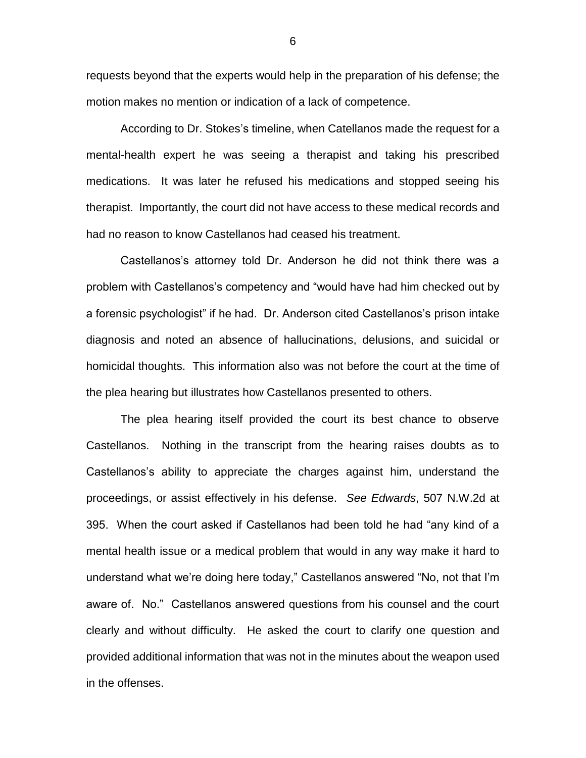requests beyond that the experts would help in the preparation of his defense; the motion makes no mention or indication of a lack of competence.

According to Dr. Stokes's timeline, when Catellanos made the request for a mental-health expert he was seeing a therapist and taking his prescribed medications. It was later he refused his medications and stopped seeing his therapist. Importantly, the court did not have access to these medical records and had no reason to know Castellanos had ceased his treatment.

Castellanos's attorney told Dr. Anderson he did not think there was a problem with Castellanos's competency and "would have had him checked out by a forensic psychologist" if he had. Dr. Anderson cited Castellanos's prison intake diagnosis and noted an absence of hallucinations, delusions, and suicidal or homicidal thoughts. This information also was not before the court at the time of the plea hearing but illustrates how Castellanos presented to others.

The plea hearing itself provided the court its best chance to observe Castellanos. Nothing in the transcript from the hearing raises doubts as to Castellanos's ability to appreciate the charges against him, understand the proceedings, or assist effectively in his defense. *See Edwards*, 507 N.W.2d at 395. When the court asked if Castellanos had been told he had "any kind of a mental health issue or a medical problem that would in any way make it hard to understand what we're doing here today," Castellanos answered "No, not that I'm aware of. No." Castellanos answered questions from his counsel and the court clearly and without difficulty. He asked the court to clarify one question and provided additional information that was not in the minutes about the weapon used in the offenses.

6